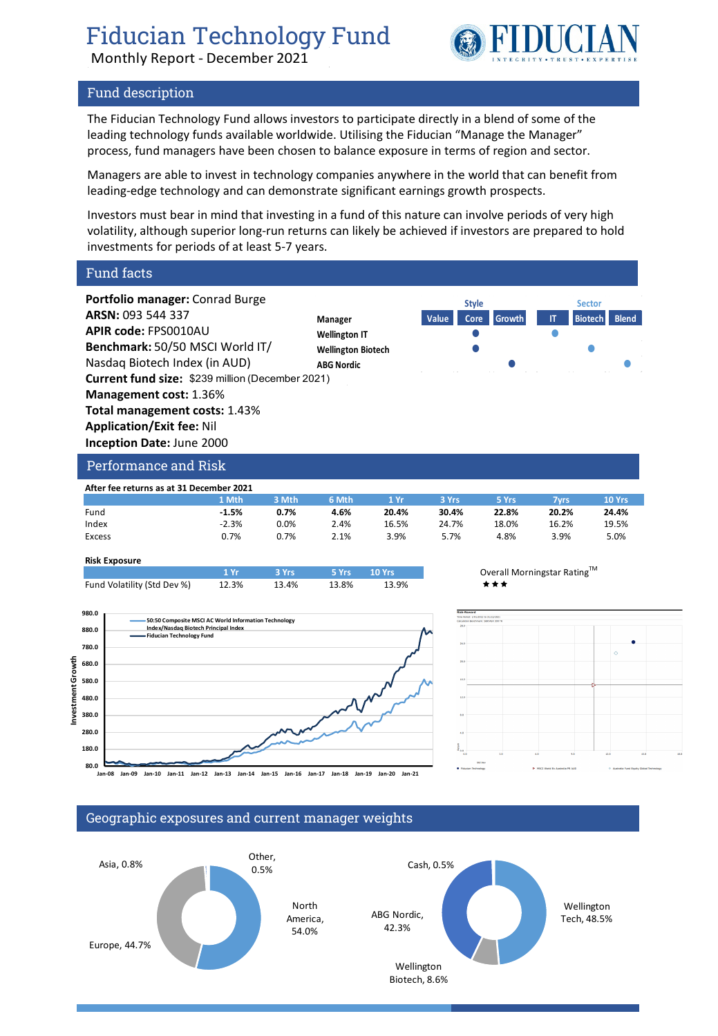FIDUCIA

Monthly Report - December 2021

## Fund description

The Fiducian Technology Fund allows investors to participate directly in a blend of some of the leading technology funds available worldwide. Utilising the Fiducian "Manage the Manager" process, fund managers have been chosen to balance exposure in terms of region and sector.

Managers are able to invest in technology companies anywhere in the world that can benefit from leading-edge technology and can demonstrate significant earnings growth prospects.

Investors must bear in mind that investing in a fund of this nature can involve periods of very high volatility, although superior long-run returns can likely be achieved if investors are prepared to hold investments for periods of at least 5-7 years.

Fund facts



| Allei lee leturiis as at 31 December 2021 |         |         |       |       |       |       |       |        |
|-------------------------------------------|---------|---------|-------|-------|-------|-------|-------|--------|
|                                           | 1 Mth   | 3 Mth   | 6 Mth | 1 Yr  | 3 Yrs | 5 Yrs | 7vrs  | 10 Yrs |
| Fund                                      | $-1.5%$ | 0.7%    | 4.6%  | 20.4% | 30.4% | 22.8% | 20.2% | 24.4%  |
| Index                                     | $-2.3%$ | $0.0\%$ | 2.4%  | 16.5% | 24.7% | 18.0% | 16.2% | 19.5%  |
| Excess                                    | 0.7%    | 0.7%    | 2.1%  | 3.9%  | 5.7%  | 4.8%  | 3.9%  | 5.0%   |
|                                           |         |         |       |       |       |       |       |        |

#### **Risk Exposure**

|                             | 1 Vr. | $-$ 3 Yrs $-$ | <b>Example 10 Yrs</b> |       | Overall |
|-----------------------------|-------|---------------|-----------------------|-------|---------|
| Fund Volatility (Std Dev %) | 12.3% | 13.4%         | 13.8%                 | 13.9% | ***     |







## Geographic exposures and current manager weights